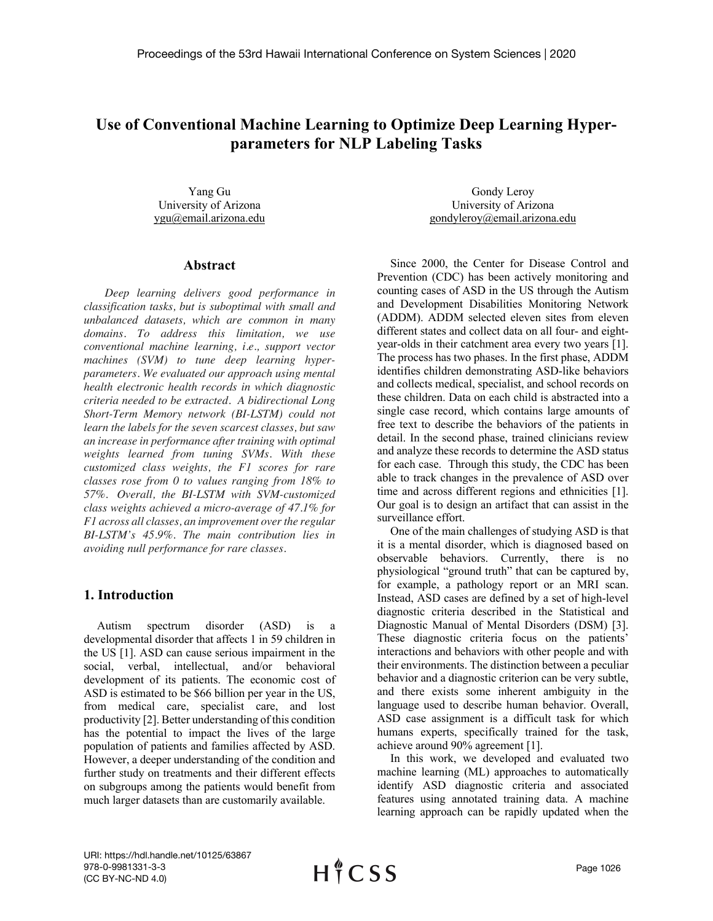# **Use of Conventional Machine Learning to Optimize Deep Learning Hyperparameters for NLP Labeling Tasks**

Yang Gu University of Arizona ygu@email.arizona.edu

### **Abstract**

*Deep learning delivers good performance in classification tasks, but is suboptimal with small and unbalanced datasets, which are common in many domains. To address this limitation, we use conventional machine learning, i.e., support vector machines (SVM) to tune deep learning hyperparameters. We evaluated our approach using mental health electronic health records in which diagnostic criteria needed to be extracted. A bidirectional Long Short-Term Memory network (BI-LSTM) could not learn the labels for the seven scarcest classes, but saw an increase in performance after training with optimal weights learned from tuning SVMs. With these customized class weights, the F1 scores for rare classes rose from 0 to values ranging from 18% to 57%. Overall, the BI-LSTM with SVM-customized class weights achieved a micro-average of 47.1% for F1 across all classes, an improvement over the regular BI-LSTM's 45.9%. The main contribution lies in avoiding null performance for rare classes.*

# **1. Introduction**

Autism spectrum disorder (ASD) is a developmental disorder that affects 1 in 59 children in the US [1]. ASD can cause serious impairment in the social, verbal, intellectual, and/or behavioral development of its patients. The economic cost of ASD is estimated to be \$66 billion per year in the US, from medical care, specialist care, and lost productivity [2]. Better understanding of this condition has the potential to impact the lives of the large population of patients and families affected by ASD. However, a deeper understanding of the condition and further study on treatments and their different effects on subgroups among the patients would benefit from much larger datasets than are customarily available.

Gondy Leroy University of Arizona gondyleroy@email.arizona.edu

Since 2000, the Center for Disease Control and Prevention (CDC) has been actively monitoring and counting cases of ASD in the US through the Autism and Development Disabilities Monitoring Network (ADDM). ADDM selected eleven sites from eleven different states and collect data on all four- and eightyear-olds in their catchment area every two years [1]. The process has two phases. In the first phase, ADDM identifies children demonstrating ASD-like behaviors and collects medical, specialist, and school records on these children. Data on each child is abstracted into a single case record, which contains large amounts of free text to describe the behaviors of the patients in detail. In the second phase, trained clinicians review and analyze these records to determine the ASD status for each case. Through this study, the CDC has been able to track changes in the prevalence of ASD over time and across different regions and ethnicities [1]. Our goal is to design an artifact that can assist in the surveillance effort.

One of the main challenges of studying ASD is that it is a mental disorder, which is diagnosed based on observable behaviors. Currently, there is no physiological "ground truth" that can be captured by, for example, a pathology report or an MRI scan. Instead, ASD cases are defined by a set of high-level diagnostic criteria described in the Statistical and Diagnostic Manual of Mental Disorders (DSM) [3]. These diagnostic criteria focus on the patients' interactions and behaviors with other people and with their environments. The distinction between a peculiar behavior and a diagnostic criterion can be very subtle, and there exists some inherent ambiguity in the language used to describe human behavior. Overall, ASD case assignment is a difficult task for which humans experts, specifically trained for the task, achieve around 90% agreement [1].

In this work, we developed and evaluated two machine learning (ML) approaches to automatically identify ASD diagnostic criteria and associated features using annotated training data. A machine learning approach can be rapidly updated when the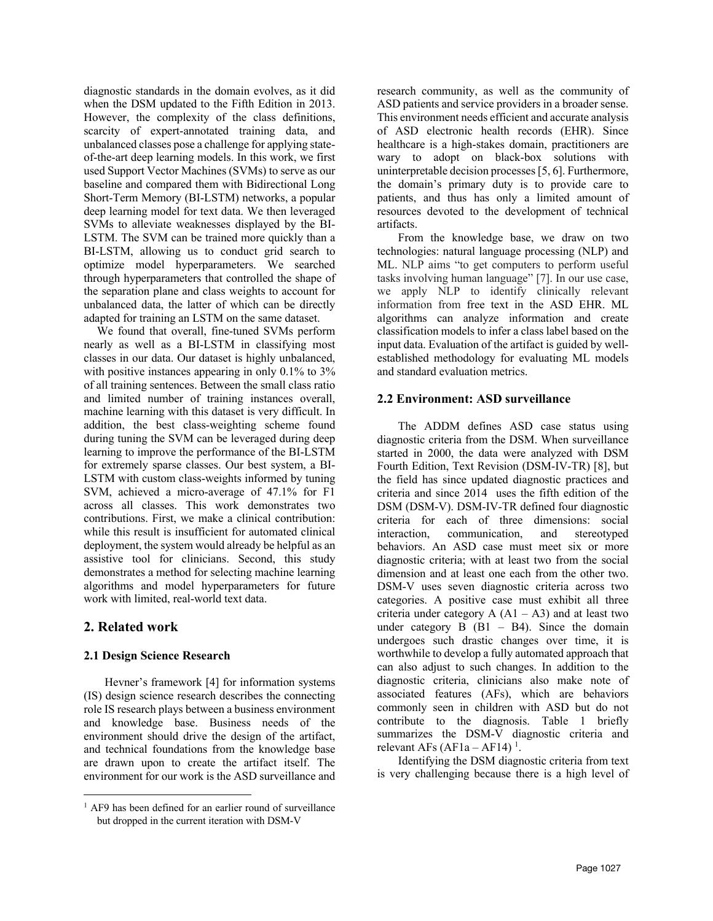diagnostic standards in the domain evolves, as it did when the DSM updated to the Fifth Edition in 2013. However, the complexity of the class definitions, scarcity of expert-annotated training data, and unbalanced classes pose a challenge for applying stateof-the-art deep learning models. In this work, we first used Support Vector Machines (SVMs) to serve as our baseline and compared them with Bidirectional Long Short-Term Memory (BI-LSTM) networks, a popular deep learning model for text data. We then leveraged SVMs to alleviate weaknesses displayed by the BI-LSTM. The SVM can be trained more quickly than a BI-LSTM, allowing us to conduct grid search to optimize model hyperparameters. We searched through hyperparameters that controlled the shape of the separation plane and class weights to account for unbalanced data, the latter of which can be directly adapted for training an LSTM on the same dataset.

We found that overall, fine-tuned SVMs perform nearly as well as a BI-LSTM in classifying most classes in our data. Our dataset is highly unbalanced, with positive instances appearing in only 0.1% to 3% of all training sentences. Between the small class ratio and limited number of training instances overall, machine learning with this dataset is very difficult. In addition, the best class-weighting scheme found during tuning the SVM can be leveraged during deep learning to improve the performance of the BI-LSTM for extremely sparse classes. Our best system, a BI-LSTM with custom class-weights informed by tuning SVM, achieved a micro-average of 47.1% for F1 across all classes. This work demonstrates two contributions. First, we make a clinical contribution: while this result is insufficient for automated clinical deployment, the system would already be helpful as an assistive tool for clinicians. Second, this study demonstrates a method for selecting machine learning algorithms and model hyperparameters for future work with limited, real-world text data.

# **2. Related work**

### **2.1 Design Science Research**

Hevner's framework [4] for information systems (IS) design science research describes the connecting role IS research plays between a business environment and knowledge base. Business needs of the environment should drive the design of the artifact, and technical foundations from the knowledge base are drawn upon to create the artifact itself. The environment for our work is the ASD surveillance and research community, as well as the community of ASD patients and service providers in a broader sense. This environment needs efficient and accurate analysis of ASD electronic health records (EHR). Since healthcare is a high-stakes domain, practitioners are wary to adopt on black-box solutions with uninterpretable decision processes [5, 6]. Furthermore, the domain's primary duty is to provide care to patients, and thus has only a limited amount of resources devoted to the development of technical artifacts.

From the knowledge base, we draw on two technologies: natural language processing (NLP) and ML. NLP aims "to get computers to perform useful tasks involving human language" [7]. In our use case, we apply NLP to identify clinically relevant information from free text in the ASD EHR. ML algorithms can analyze information and create classification models to infer a class label based on the input data. Evaluation of the artifact is guided by wellestablished methodology for evaluating ML models and standard evaluation metrics.

### **2.2 Environment: ASD surveillance**

The ADDM defines ASD case status using diagnostic criteria from the DSM. When surveillance started in 2000, the data were analyzed with DSM Fourth Edition, Text Revision (DSM-IV-TR) [8], but the field has since updated diagnostic practices and criteria and since 2014 uses the fifth edition of the DSM (DSM-V). DSM-IV-TR defined four diagnostic criteria for each of three dimensions: social interaction, communication, and stereotyped behaviors. An ASD case must meet six or more diagnostic criteria; with at least two from the social dimension and at least one each from the other two. DSM-V uses seven diagnostic criteria across two categories. A positive case must exhibit all three criteria under category  $A (A1 - A3)$  and at least two under category  $B$  ( $B1 - B4$ ). Since the domain undergoes such drastic changes over time, it is worthwhile to develop a fully automated approach that can also adjust to such changes. In addition to the diagnostic criteria, clinicians also make note of associated features (AFs), which are behaviors commonly seen in children with ASD but do not contribute to the diagnosis. Table 1 briefly summarizes the DSM-V diagnostic criteria and relevant AFs  $(AF1a - AF14)^1$ .

Identifying the DSM diagnostic criteria from text is very challenging because there is a high level of

<sup>&</sup>lt;sup>1</sup> AF9 has been defined for an earlier round of surveillance but dropped in the current iteration with DSM-V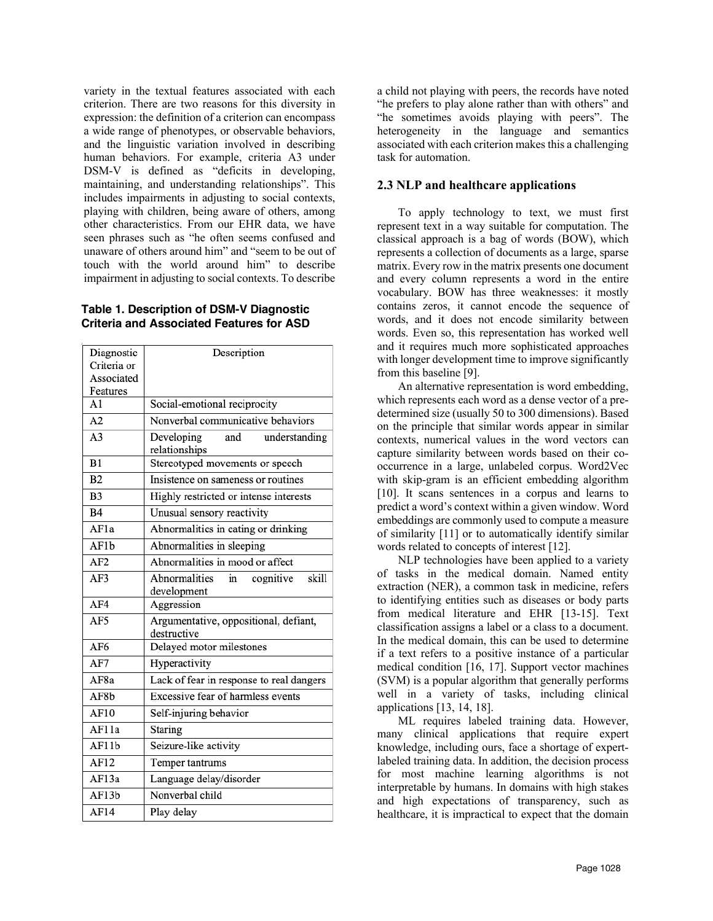variety in the textual features associated with each criterion. There are two reasons for this diversity in expression: the definition of a criterion can encompass a wide range of phenotypes, or observable behaviors, and the linguistic variation involved in describing human behaviors. For example, criteria A3 under DSM-V is defined as "deficits in developing, maintaining, and understanding relationships". This includes impairments in adjusting to social contexts, playing with children, being aware of others, among other characteristics. From our EHR data, we have seen phrases such as "he often seems confused and unaware of others around him" and "seem to be out of touch with the world around him" to describe impairment in adjusting to social contexts. To describe

#### **Table 1. Description of DSM-V Diagnostic Criteria and Associated Features for ASD**

| Diagnostic<br>Criteria or | Description                                          |  |  |  |  |  |
|---------------------------|------------------------------------------------------|--|--|--|--|--|
| Associated<br>Features    |                                                      |  |  |  |  |  |
| A <sub>1</sub>            | Social-emotional reciprocity                         |  |  |  |  |  |
| A2                        | Nonverbal communicative behaviors                    |  |  |  |  |  |
| A <sub>3</sub>            | Developing<br>and<br>understanding<br>relationships  |  |  |  |  |  |
| B1                        | Stereotyped movements or speech                      |  |  |  |  |  |
| B2                        | Insistence on sameness or routines                   |  |  |  |  |  |
| B <sub>3</sub>            | Highly restricted or intense interests               |  |  |  |  |  |
| B4                        | Unusual sensory reactivity                           |  |  |  |  |  |
| AF1a                      | Abnormalities in eating or drinking                  |  |  |  |  |  |
| AF1b                      | Abnormalities in sleeping                            |  |  |  |  |  |
| AF2                       | Abnormalities in mood or affect                      |  |  |  |  |  |
| AF3                       | Abnormalities<br>in<br>skill<br>cognitive            |  |  |  |  |  |
|                           | development                                          |  |  |  |  |  |
| AF4                       | Aggression                                           |  |  |  |  |  |
| AF5                       | Argumentative, oppositional, defiant,<br>destructive |  |  |  |  |  |
| AF6                       | Delayed motor milestones                             |  |  |  |  |  |
| AF7                       | Hyperactivity                                        |  |  |  |  |  |
| AF8a                      | Lack of fear in response to real dangers             |  |  |  |  |  |
| AF8b                      | Excessive fear of harmless events                    |  |  |  |  |  |
| AF10                      | Self-injuring behavior                               |  |  |  |  |  |
| AF11a                     | Staring                                              |  |  |  |  |  |
| AF11b                     | Seizure-like activity                                |  |  |  |  |  |
| AF12                      | Temper tantrums                                      |  |  |  |  |  |
| AF13a                     | Language delay/disorder                              |  |  |  |  |  |
| AF13b                     | Nonverbal child                                      |  |  |  |  |  |
| AF14                      | Play delay                                           |  |  |  |  |  |

a child not playing with peers, the records have noted "he prefers to play alone rather than with others" and "he sometimes avoids playing with peers". The heterogeneity in the language and semantics associated with each criterion makes this a challenging task for automation.

# **2.3 NLP and healthcare applications**

To apply technology to text, we must first represent text in a way suitable for computation. The classical approach is a bag of words (BOW), which represents a collection of documents as a large, sparse matrix. Every row in the matrix presents one document and every column represents a word in the entire vocabulary. BOW has three weaknesses: it mostly contains zeros, it cannot encode the sequence of words, and it does not encode similarity between words. Even so, this representation has worked well and it requires much more sophisticated approaches with longer development time to improve significantly from this baseline [9].

An alternative representation is word embedding, which represents each word as a dense vector of a predetermined size (usually 50 to 300 dimensions). Based on the principle that similar words appear in similar contexts, numerical values in the word vectors can capture similarity between words based on their cooccurrence in a large, unlabeled corpus. Word2Vec with skip-gram is an efficient embedding algorithm [10]. It scans sentences in a corpus and learns to predict a word's context within a given window. Word embeddings are commonly used to compute a measure of similarity [11] or to automatically identify similar words related to concepts of interest [12].

NLP technologies have been applied to a variety of tasks in the medical domain. Named entity extraction (NER), a common task in medicine, refers to identifying entities such as diseases or body parts from medical literature and EHR [13-15]. Text classification assigns a label or a class to a document. In the medical domain, this can be used to determine if a text refers to a positive instance of a particular medical condition [16, 17]. Support vector machines (SVM) is a popular algorithm that generally performs well in a variety of tasks, including clinical applications [13, 14, 18].

ML requires labeled training data. However, many clinical applications that require expert knowledge, including ours, face a shortage of expertlabeled training data. In addition, the decision process for most machine learning algorithms is not interpretable by humans. In domains with high stakes and high expectations of transparency, such as healthcare, it is impractical to expect that the domain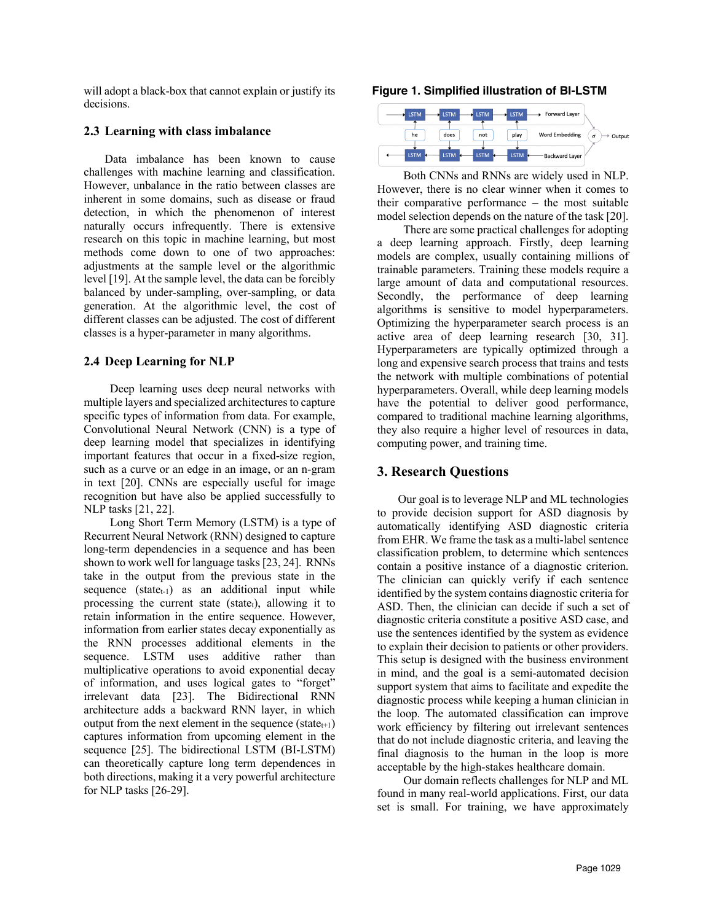will adopt a black-box that cannot explain or justify its decisions.

### **2.3 Learning with class imbalance**

Data imbalance has been known to cause challenges with machine learning and classification. However, unbalance in the ratio between classes are inherent in some domains, such as disease or fraud detection, in which the phenomenon of interest naturally occurs infrequently. There is extensive research on this topic in machine learning, but most methods come down to one of two approaches: adjustments at the sample level or the algorithmic level [19]. At the sample level, the data can be forcibly balanced by under-sampling, over-sampling, or data generation. At the algorithmic level, the cost of different classes can be adjusted. The cost of different classes is a hyper-parameter in many algorithms.

# **2.4 Deep Learning for NLP**

Deep learning uses deep neural networks with multiple layers and specialized architectures to capture specific types of information from data. For example, Convolutional Neural Network (CNN) is a type of deep learning model that specializes in identifying important features that occur in a fixed-size region, such as a curve or an edge in an image, or an n-gram in text [20]. CNNs are especially useful for image recognition but have also be applied successfully to NLP tasks [21, 22].

Long Short Term Memory (LSTM) is a type of Recurrent Neural Network (RNN) designed to capture long-term dependencies in a sequence and has been shown to work well for language tasks [23, 24]. RNNs take in the output from the previous state in the sequence  $(\text{state}_{t-1})$  as an additional input while processing the current state (state $_{t}$ ), allowing it to retain information in the entire sequence. However, information from earlier states decay exponentially as the RNN processes additional elements in the sequence. LSTM uses additive rather than multiplicative operations to avoid exponential decay of information, and uses logical gates to "forget" irrelevant data [23]. The Bidirectional RNN architecture adds a backward RNN layer, in which output from the next element in the sequence (state $t+1$ ) captures information from upcoming element in the sequence [25]. The bidirectional LSTM (BI-LSTM) can theoretically capture long term dependences in both directions, making it a very powerful architecture for NLP tasks [26-29].

#### **Figure 1. Simplified illustration of BI-LSTM**



Both CNNs and RNNs are widely used in NLP. However, there is no clear winner when it comes to their comparative performance – the most suitable model selection depends on the nature of the task [20].

There are some practical challenges for adopting a deep learning approach. Firstly, deep learning models are complex, usually containing millions of trainable parameters. Training these models require a large amount of data and computational resources. Secondly, the performance of deep learning algorithms is sensitive to model hyperparameters. Optimizing the hyperparameter search process is an active area of deep learning research [30, 31]. Hyperparameters are typically optimized through a long and expensive search process that trains and tests the network with multiple combinations of potential hyperparameters. Overall, while deep learning models have the potential to deliver good performance, compared to traditional machine learning algorithms, they also require a higher level of resources in data, computing power, and training time.

# **3. Research Questions**

Our goal is to leverage NLP and ML technologies to provide decision support for ASD diagnosis by automatically identifying ASD diagnostic criteria from EHR. We frame the task as a multi-label sentence classification problem, to determine which sentences contain a positive instance of a diagnostic criterion. The clinician can quickly verify if each sentence identified by the system contains diagnostic criteria for ASD. Then, the clinician can decide if such a set of diagnostic criteria constitute a positive ASD case, and use the sentences identified by the system as evidence to explain their decision to patients or other providers. This setup is designed with the business environment in mind, and the goal is a semi-automated decision support system that aims to facilitate and expedite the diagnostic process while keeping a human clinician in the loop. The automated classification can improve work efficiency by filtering out irrelevant sentences that do not include diagnostic criteria, and leaving the final diagnosis to the human in the loop is more acceptable by the high-stakes healthcare domain.

Our domain reflects challenges for NLP and ML found in many real-world applications. First, our data set is small. For training, we have approximately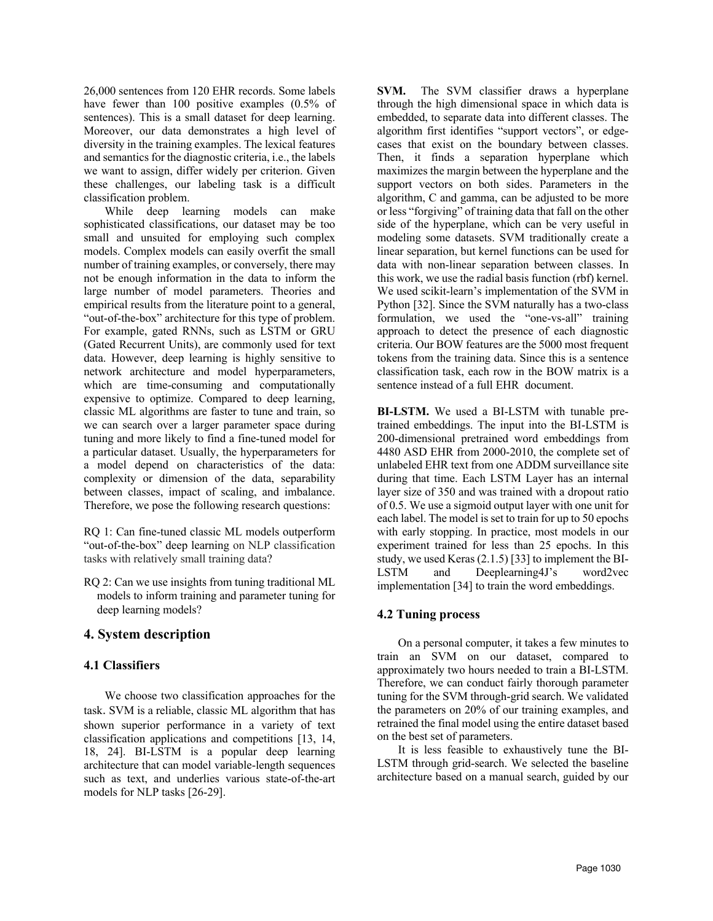26,000 sentences from 120 EHR records. Some labels have fewer than 100 positive examples  $(0.5\% \text{ of }$ sentences). This is a small dataset for deep learning. Moreover, our data demonstrates a high level of diversity in the training examples. The lexical features and semantics for the diagnostic criteria, i.e., the labels we want to assign, differ widely per criterion. Given these challenges, our labeling task is a difficult classification problem.

While deep learning models can make sophisticated classifications, our dataset may be too small and unsuited for employing such complex models. Complex models can easily overfit the small number of training examples, or conversely, there may not be enough information in the data to inform the large number of model parameters. Theories and empirical results from the literature point to a general, "out-of-the-box" architecture for this type of problem. For example, gated RNNs, such as LSTM or GRU (Gated Recurrent Units), are commonly used for text data. However, deep learning is highly sensitive to network architecture and model hyperparameters, which are time-consuming and computationally expensive to optimize. Compared to deep learning, classic ML algorithms are faster to tune and train, so we can search over a larger parameter space during tuning and more likely to find a fine-tuned model for a particular dataset. Usually, the hyperparameters for a model depend on characteristics of the data: complexity or dimension of the data, separability between classes, impact of scaling, and imbalance. Therefore, we pose the following research questions:

RQ 1: Can fine-tuned classic ML models outperform "out-of-the-box" deep learning on NLP classification tasks with relatively small training data?

RQ 2: Can we use insights from tuning traditional ML models to inform training and parameter tuning for deep learning models?

# **4. System description**

# **4.1 Classifiers**

We choose two classification approaches for the task. SVM is a reliable, classic ML algorithm that has shown superior performance in a variety of text classification applications and competitions [13, 14, 18, 24]. BI-LSTM is a popular deep learning architecture that can model variable-length sequences such as text, and underlies various state-of-the-art models for NLP tasks [26-29].

**SVM.** The SVM classifier draws a hyperplane through the high dimensional space in which data is embedded, to separate data into different classes. The algorithm first identifies "support vectors", or edgecases that exist on the boundary between classes. Then, it finds a separation hyperplane which maximizes the margin between the hyperplane and the support vectors on both sides. Parameters in the algorithm, C and gamma, can be adjusted to be more or less "forgiving" of training data that fall on the other side of the hyperplane, which can be very useful in modeling some datasets. SVM traditionally create a linear separation, but kernel functions can be used for data with non-linear separation between classes. In this work, we use the radial basis function (rbf) kernel. We used scikit-learn's implementation of the SVM in Python [32]. Since the SVM naturally has a two-class formulation, we used the "one-vs-all" training approach to detect the presence of each diagnostic criteria. Our BOW features are the 5000 most frequent tokens from the training data. Since this is a sentence classification task, each row in the BOW matrix is a sentence instead of a full EHR document.

**BI-LSTM.** We used a BI-LSTM with tunable pretrained embeddings. The input into the BI-LSTM is 200-dimensional pretrained word embeddings from 4480 ASD EHR from 2000-2010, the complete set of unlabeled EHR text from one ADDM surveillance site during that time. Each LSTM Layer has an internal layer size of 350 and was trained with a dropout ratio of 0.5. We use a sigmoid output layer with one unit for each label. The model is set to train for up to 50 epochs with early stopping. In practice, most models in our experiment trained for less than 25 epochs. In this study, we used Keras (2.1.5) [33] to implement the BI-LSTM and Deeplearning4J's word2vec implementation [34] to train the word embeddings.

# **4.2 Tuning process**

On a personal computer, it takes a few minutes to train an SVM on our dataset, compared to approximately two hours needed to train a BI-LSTM. Therefore, we can conduct fairly thorough parameter tuning for the SVM through-grid search. We validated the parameters on 20% of our training examples, and retrained the final model using the entire dataset based on the best set of parameters.

It is less feasible to exhaustively tune the BI-LSTM through grid-search. We selected the baseline architecture based on a manual search, guided by our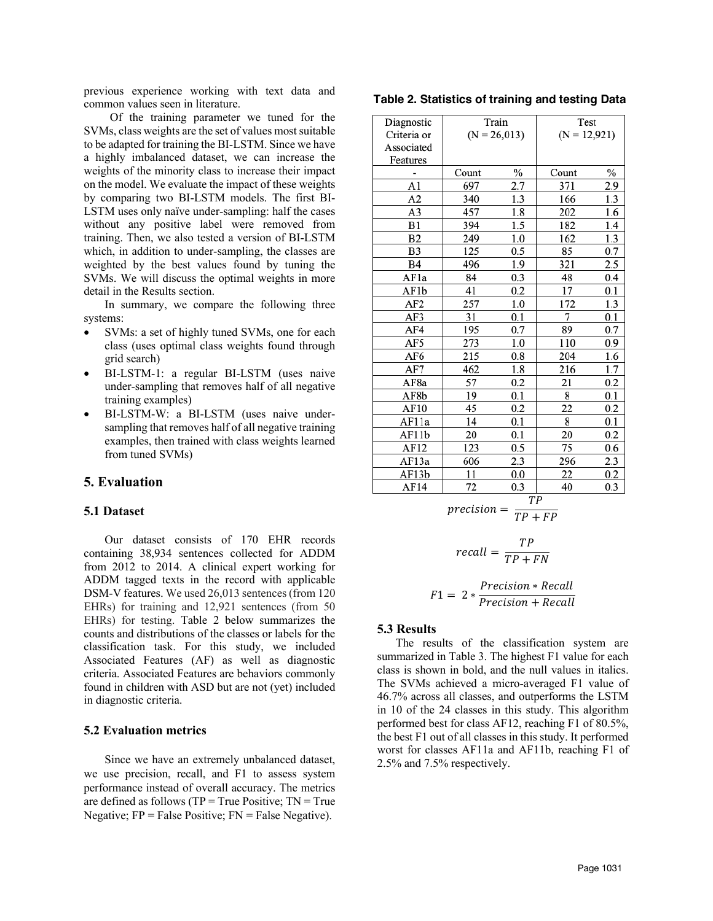previous experience working with text data and common values seen in literature.

Of the training parameter we tuned for the SVMs, class weights are the set of values most suitable to be adapted for training the BI-LSTM. Since we have a highly imbalanced dataset, we can increase the weights of the minority class to increase their impact on the model. We evaluate the impact of these weights by comparing two BI-LSTM models. The first BI-LSTM uses only naïve under-sampling: half the cases without any positive label were removed from training. Then, we also tested a version of BI-LSTM which, in addition to under-sampling, the classes are weighted by the best values found by tuning the SVMs. We will discuss the optimal weights in more detail in the Results section.

In summary, we compare the following three systems:

- SVMs: a set of highly tuned SVMs, one for each class (uses optimal class weights found through grid search)
- BI-LSTM-1: a regular BI-LSTM (uses naive under-sampling that removes half of all negative training examples)
- BI-LSTM-W: a BI-LSTM (uses naive undersampling that removes half of all negative training examples, then trained with class weights learned from tuned SVMs)

### **5. Evaluation**

#### **5.1 Dataset**

Our dataset consists of 170 EHR records containing 38,934 sentences collected for ADDM from 2012 to 2014. A clinical expert working for ADDM tagged texts in the record with applicable DSM-V features. We used 26,013 sentences (from 120 EHRs) for training and 12,921 sentences (from 50 EHRs) for testing. Table 2 below summarizes the counts and distributions of the classes or labels for the classification task. For this study, we included Associated Features (AF) as well as diagnostic criteria. Associated Features are behaviors commonly found in children with ASD but are not (yet) included in diagnostic criteria.

#### **5.2 Evaluation metrics**

Since we have an extremely unbalanced dataset, we use precision, recall, and F1 to assess system performance instead of overall accuracy. The metrics are defined as follows ( $TP = True$  Positive;  $TN = True$ Negative;  $FP = False Positive$ ;  $FN = False Negative$ .

| Table 2. Statistics of training and testing Data |  |  |  |
|--------------------------------------------------|--|--|--|
|--------------------------------------------------|--|--|--|

| Diagnostic      |            | Train          | Test           |          |  |
|-----------------|------------|----------------|----------------|----------|--|
| Criteria or     |            | $(N = 26,013)$ | $(N = 12,921)$ |          |  |
| Associated      |            |                |                |          |  |
| Features        |            |                |                |          |  |
|                 | Count      | $\%$           | Count          | $\%$     |  |
| A1              | 697        | 2.7            | 371            | 2.9      |  |
| A2              | 340        | 1.3            | 166            | 1.3      |  |
| A3              | 457        | 1.8            | 202            | 1.6      |  |
| B1              | 394        | 1.5            | 182            | 1.4      |  |
| B <sub>2</sub>  | 249        | 1.0            | 162            | 1.3      |  |
| B <sub>3</sub>  | 125        | 0.5            | 85             | 0.7      |  |
| <b>B4</b>       | 496        | 1.9            | 321            | 2.5      |  |
| AF1a            | 84         | 0.3            | 48             | $_{0.4}$ |  |
| AF1b            | 41         | 0.2            | 17             | 0.1      |  |
| AF <sub>2</sub> | 257        | 1.0            | 172            | 1.3      |  |
| AF3             | 31<br>0.1  |                | 7              | 0.1      |  |
| AF4             | 195        | 0.7            | 89             | 0.7      |  |
| AF5             | 273        | 1.0            | 110            | 0.9      |  |
| AF6             | 215        | 0.8            | 204            | 1.6      |  |
| AF7             | 462        | 1.8            | 216            | 1.7      |  |
| AF8a            | 57         | 0.2            | 21             | 0.2      |  |
| AF8b            | 19<br>0.1  |                | 8              | 0.1      |  |
| AF10            | 45<br>0.2  |                | 22             | 0.2      |  |
| AF11a           | 14         | 0.1            | 8              | 0.1      |  |
| AF11b           | 20         | 0.1            | 20             | $_{0.2}$ |  |
| AF12            | 123<br>0.5 |                | 75             | 0.6      |  |
| AF13a           | 2.3<br>606 |                | 296            | 2.3      |  |
| AF13b           | 11         | 0.0            | 22             | 0.2      |  |
| AF14            | 72         | 0.3            | 40             | 0.3      |  |

$$
precision = \frac{TP}{TP + FP}
$$

$$
recall = \frac{TP}{TP + FN}
$$

$$
F1 = 2 * \frac{Precision * Recall}{Precision + Recall}
$$

#### **5.3 Results**

The results of the classification system are summarized in Table 3. The highest F1 value for each class is shown in bold, and the null values in italics. The SVMs achieved a micro-averaged F1 value of 46.7% across all classes, and outperforms the LSTM in 10 of the 24 classes in this study. This algorithm performed best for class AF12, reaching F1 of 80.5%, the best F1 out of all classes in this study. It performed worst for classes AF11a and AF11b, reaching F1 of 2.5% and 7.5% respectively.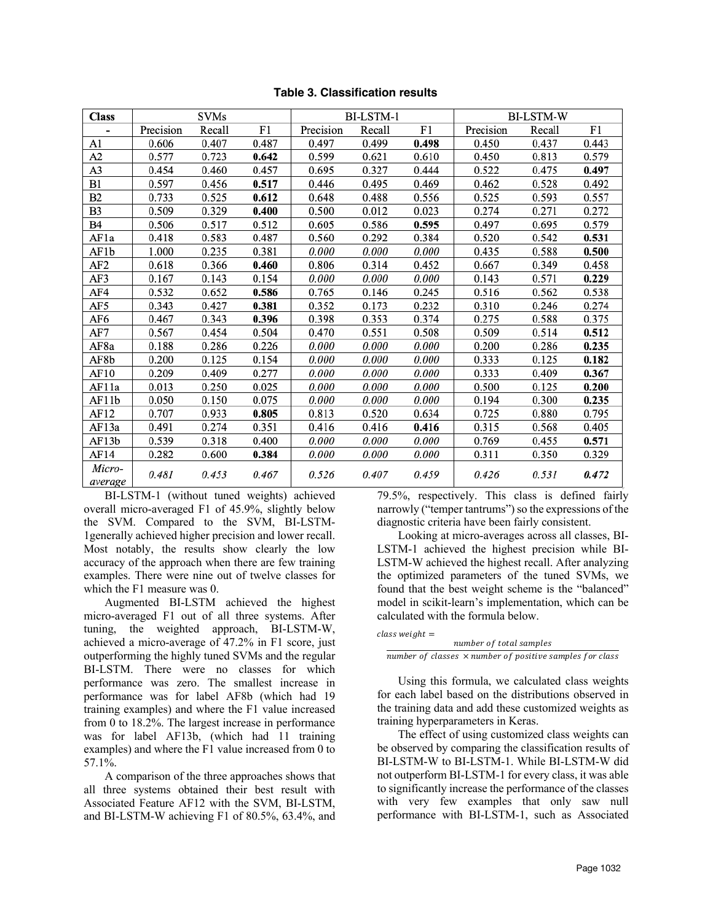| <b>Class</b>      | <b>SVMs</b> |        |       | BI-LSTM-1 |        |       | <b>BI-LSTM-W</b> |        |       |
|-------------------|-------------|--------|-------|-----------|--------|-------|------------------|--------|-------|
|                   | Precision   | Recall | F1    | Precision | Recall | F1    | Precision        | Recall | F1    |
| A <sub>1</sub>    | 0.606       | 0.407  | 0.487 | 0.497     | 0.499  | 0.498 | 0.450            | 0.437  | 0.443 |
| A2                | 0.577       | 0.723  | 0.642 | 0.599     | 0.621  | 0.610 | 0.450            | 0.813  | 0.579 |
| A <sub>3</sub>    | 0.454       | 0.460  | 0.457 | 0.695     | 0.327  | 0.444 | 0.522            | 0.475  | 0.497 |
| B1                | 0.597       | 0.456  | 0.517 | 0.446     | 0.495  | 0.469 | 0.462            | 0.528  | 0.492 |
| B <sub>2</sub>    | 0.733       | 0.525  | 0.612 | 0.648     | 0.488  | 0.556 | 0.525            | 0.593  | 0.557 |
| B3                | 0.509       | 0.329  | 0.400 | 0.500     | 0.012  | 0.023 | 0.274            | 0.271  | 0.272 |
| B4                | 0.506       | 0.517  | 0.512 | 0.605     | 0.586  | 0.595 | 0.497            | 0.695  | 0.579 |
| AF1a              | 0.418       | 0.583  | 0.487 | 0.560     | 0.292  | 0.384 | 0.520            | 0.542  | 0.531 |
| AF1b              | 1.000       | 0.235  | 0.381 | 0.000     | 0.000  | 0.000 | 0.435            | 0.588  | 0.500 |
| AF <sub>2</sub>   | 0.618       | 0.366  | 0.460 | 0.806     | 0.314  | 0.452 | 0.667            | 0.349  | 0.458 |
| AF3               | 0.167       | 0.143  | 0.154 | 0.000     | 0.000  | 0.000 | 0.143            | 0.571  | 0.229 |
| AF4               | 0.532       | 0.652  | 0.586 | 0.765     | 0.146  | 0.245 | 0.516            | 0.562  | 0.538 |
| AF5               | 0.343       | 0.427  | 0.381 | 0.352     | 0.173  | 0.232 | 0.310            | 0.246  | 0.274 |
| AF6               | 0.467       | 0.343  | 0.396 | 0.398     | 0.353  | 0.374 | 0.275            | 0.588  | 0.375 |
| AF7               | 0.567       | 0.454  | 0.504 | 0.470     | 0.551  | 0.508 | 0.509            | 0.514  | 0.512 |
| AF8a              | 0.188       | 0.286  | 0.226 | 0.000     | 0.000  | 0.000 | 0.200            | 0.286  | 0.235 |
| AF8b              | 0.200       | 0.125  | 0.154 | 0.000     | 0.000  | 0.000 | 0.333            | 0.125  | 0.182 |
| AF10              | 0.209       | 0.409  | 0.277 | 0.000     | 0.000  | 0.000 | 0.333            | 0.409  | 0.367 |
| AF11a             | 0.013       | 0.250  | 0.025 | 0.000     | 0.000  | 0.000 | 0.500            | 0.125  | 0.200 |
| AF11b             | 0.050       | 0.150  | 0.075 | 0.000     | 0.000  | 0.000 | 0.194            | 0.300  | 0.235 |
| AF12              | 0.707       | 0.933  | 0.805 | 0.813     | 0.520  | 0.634 | 0.725            | 0.880  | 0.795 |
| AF13a             | 0.491       | 0.274  | 0.351 | 0.416     | 0.416  | 0.416 | 0.315            | 0.568  | 0.405 |
| AF13b             | 0.539       | 0.318  | 0.400 | 0.000     | 0.000  | 0.000 | 0.769            | 0.455  | 0.571 |
| AF14              | 0.282       | 0.600  | 0.384 | 0.000     | 0.000  | 0.000 | 0.311            | 0.350  | 0.329 |
| Micro-<br>average | 0.481       | 0.453  | 0.467 | 0.526     | 0.407  | 0.459 | 0.426            | 0.531  | 0.472 |

**Table 3. Classification results**

BI-LSTM-1 (without tuned weights) achieved overall micro-averaged F1 of 45.9%, slightly below the SVM. Compared to the SVM, BI-LSTM-1generally achieved higher precision and lower recall. Most notably, the results show clearly the low accuracy of the approach when there are few training examples. There were nine out of twelve classes for which the F1 measure was 0.

Augmented BI-LSTM achieved the highest micro-averaged F1 out of all three systems. After tuning, the weighted approach, BI-LSTM-W, achieved a micro-average of 47.2% in F1 score, just outperforming the highly tuned SVMs and the regular BI-LSTM. There were no classes for which performance was zero. The smallest increase in performance was for label AF8b (which had 19 training examples) and where the F1 value increased from 0 to 18.2%. The largest increase in performance was for label AF13b, (which had 11 training examples) and where the F1 value increased from 0 to 57.1%.

A comparison of the three approaches shows that all three systems obtained their best result with Associated Feature AF12 with the SVM, BI-LSTM, and BI-LSTM-W achieving F1 of 80.5%, 63.4%, and

79.5%, respectively. This class is defined fairly narrowly ("temper tantrums") so the expressions of the diagnostic criteria have been fairly consistent.

Looking at micro-averages across all classes, BI-LSTM-1 achieved the highest precision while BI-LSTM-W achieved the highest recall. After analyzing the optimized parameters of the tuned SVMs, we found that the best weight scheme is the "balanced" model in scikit-learn's implementation, which can be calculated with the formula below.

 $class weight =$ 

number of total samples number of classes  $\times$  number of positive samples for class

Using this formula, we calculated class weights for each label based on the distributions observed in the training data and add these customized weights as training hyperparameters in Keras.

The effect of using customized class weights can be observed by comparing the classification results of BI-LSTM-W to BI-LSTM-1. While BI-LSTM-W did not outperform BI-LSTM-1 for every class, it was able to significantly increase the performance of the classes with very few examples that only saw null performance with BI-LSTM-1, such as Associated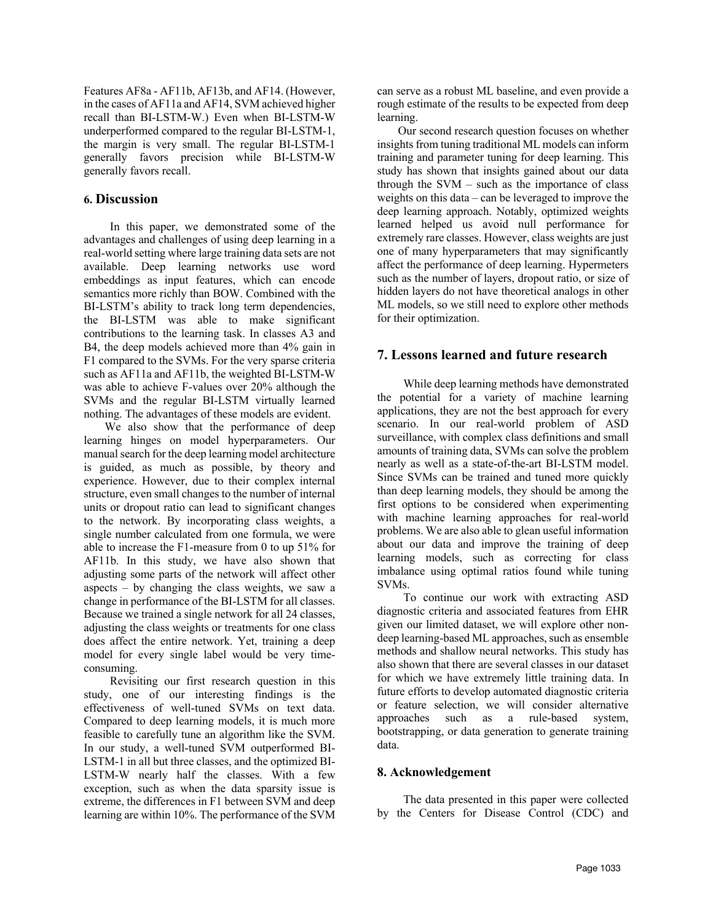Features AF8a - AF11b, AF13b, and AF14. (However, in the cases of AF11a and AF14, SVM achieved higher recall than BI-LSTM-W.) Even when BI-LSTM-W underperformed compared to the regular BI-LSTM-1, the margin is very small. The regular BI-LSTM-1 generally favors precision while BI-LSTM-W generally favors recall.

# **6. Discussion**

In this paper, we demonstrated some of the advantages and challenges of using deep learning in a real-world setting where large training data sets are not available. Deep learning networks use word embeddings as input features, which can encode semantics more richly than BOW. Combined with the BI-LSTM's ability to track long term dependencies, the BI-LSTM was able to make significant contributions to the learning task. In classes A3 and B4, the deep models achieved more than 4% gain in F1 compared to the SVMs. For the very sparse criteria such as AF11a and AF11b, the weighted BI-LSTM-W was able to achieve F-values over 20% although the SVMs and the regular BI-LSTM virtually learned nothing. The advantages of these models are evident.

We also show that the performance of deep learning hinges on model hyperparameters. Our manual search for the deep learning model architecture is guided, as much as possible, by theory and experience. However, due to their complex internal structure, even small changes to the number of internal units or dropout ratio can lead to significant changes to the network. By incorporating class weights, a single number calculated from one formula, we were able to increase the F1-measure from 0 to up 51% for AF11b. In this study, we have also shown that adjusting some parts of the network will affect other aspects – by changing the class weights, we saw a change in performance of the BI-LSTM for all classes. Because we trained a single network for all 24 classes, adjusting the class weights or treatments for one class does affect the entire network. Yet, training a deep model for every single label would be very timeconsuming.

Revisiting our first research question in this study, one of our interesting findings is the effectiveness of well-tuned SVMs on text data. Compared to deep learning models, it is much more feasible to carefully tune an algorithm like the SVM. In our study, a well-tuned SVM outperformed BI-LSTM-1 in all but three classes, and the optimized BI-LSTM-W nearly half the classes. With a few exception, such as when the data sparsity issue is extreme, the differences in F1 between SVM and deep learning are within 10%. The performance of the SVM can serve as a robust ML baseline, and even provide a rough estimate of the results to be expected from deep learning.

Our second research question focuses on whether insights from tuning traditional ML models can inform training and parameter tuning for deep learning. This study has shown that insights gained about our data through the SVM – such as the importance of class weights on this data – can be leveraged to improve the deep learning approach. Notably, optimized weights learned helped us avoid null performance for extremely rare classes. However, class weights are just one of many hyperparameters that may significantly affect the performance of deep learning. Hypermeters such as the number of layers, dropout ratio, or size of hidden layers do not have theoretical analogs in other ML models, so we still need to explore other methods for their optimization.

# **7. Lessons learned and future research**

While deep learning methods have demonstrated the potential for a variety of machine learning applications, they are not the best approach for every scenario. In our real-world problem of ASD surveillance, with complex class definitions and small amounts of training data, SVMs can solve the problem nearly as well as a state-of-the-art BI-LSTM model. Since SVMs can be trained and tuned more quickly than deep learning models, they should be among the first options to be considered when experimenting with machine learning approaches for real-world problems. We are also able to glean useful information about our data and improve the training of deep learning models, such as correcting for class imbalance using optimal ratios found while tuning SVMs.

To continue our work with extracting ASD diagnostic criteria and associated features from EHR given our limited dataset, we will explore other nondeep learning-based ML approaches, such as ensemble methods and shallow neural networks. This study has also shown that there are several classes in our dataset for which we have extremely little training data. In future efforts to develop automated diagnostic criteria or feature selection, we will consider alternative approaches such as a rule-based system, bootstrapping, or data generation to generate training data.

### **8. Acknowledgement**

The data presented in this paper were collected by the Centers for Disease Control (CDC) and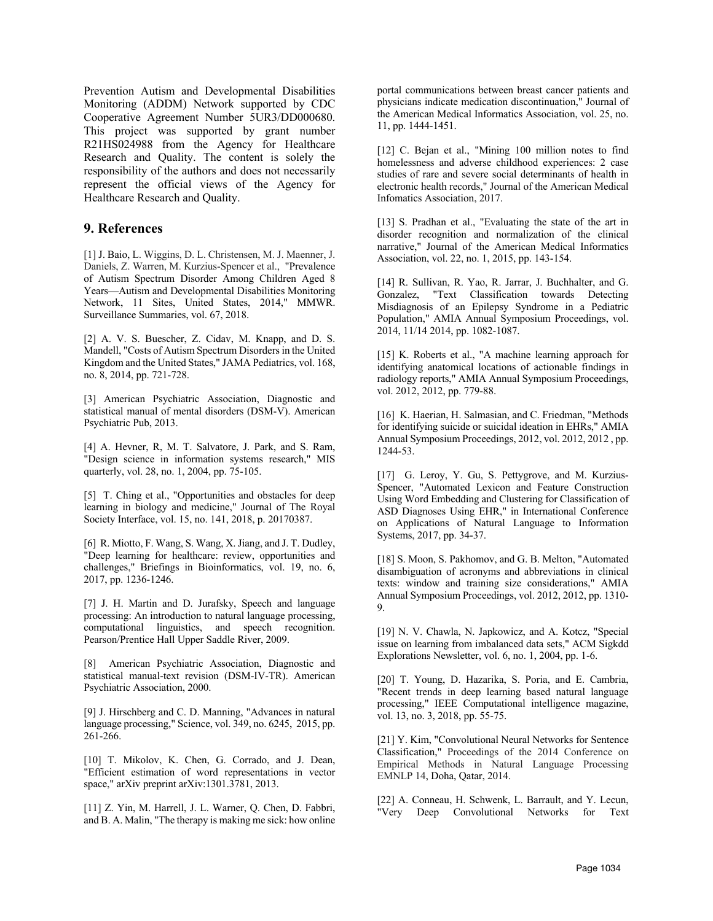Prevention Autism and Developmental Disabilities Monitoring (ADDM) Network supported by CDC Cooperative Agreement Number 5UR3/DD000680. This project was supported by grant number R21HS024988 from the Agency for Healthcare Research and Quality. The content is solely the responsibility of the authors and does not necessarily represent the official views of the Agency for Healthcare Research and Quality.

### **9. References**

[1] J. Baio, L. Wiggins, D. L. Christensen, M. J. Maenner, J. Daniels, Z. Warren, M. Kurzius-Spencer et al., "Prevalence of Autism Spectrum Disorder Among Children Aged 8 Years—Autism and Developmental Disabilities Monitoring Network, 11 Sites, United States, 2014," MMWR. Surveillance Summaries, vol. 67, 2018.

[2] A. V. S. Buescher, Z. Cidav, M. Knapp, and D. S. Mandell, "Costs of Autism Spectrum Disorders in the United Kingdom and the United States," JAMA Pediatrics, vol. 168, no. 8, 2014, pp. 721-728.

[3] American Psychiatric Association, Diagnostic and statistical manual of mental disorders (DSM-V). American Psychiatric Pub, 2013.

[4] A. Hevner, R, M. T. Salvatore, J. Park, and S. Ram, "Design science in information systems research," MIS quarterly, vol. 28, no. 1, 2004, pp. 75-105.

[5] T. Ching et al., "Opportunities and obstacles for deep learning in biology and medicine," Journal of The Royal Society Interface, vol. 15, no. 141, 2018, p. 20170387.

[6] R. Miotto, F. Wang, S. Wang, X. Jiang, and J. T. Dudley, "Deep learning for healthcare: review, opportunities and challenges," Briefings in Bioinformatics, vol. 19, no. 6, 2017, pp. 1236-1246.

[7] J. H. Martin and D. Jurafsky, Speech and language processing: An introduction to natural language processing, computational linguistics, and speech recognition. Pearson/Prentice Hall Upper Saddle River, 2009.

[8] American Psychiatric Association, Diagnostic and statistical manual-text revision (DSM-IV-TR). American Psychiatric Association, 2000.

[9] J. Hirschberg and C. D. Manning, "Advances in natural language processing," Science, vol. 349, no. 6245, 2015, pp. 261-266.

[10] T. Mikolov, K. Chen, G. Corrado, and J. Dean, "Efficient estimation of word representations in vector space," arXiv preprint arXiv:1301.3781, 2013.

[11] Z. Yin, M. Harrell, J. L. Warner, Q. Chen, D. Fabbri, and B. A. Malin, "The therapy is making me sick: how online portal communications between breast cancer patients and physicians indicate medication discontinuation," Journal of the American Medical Informatics Association, vol. 25, no. 11, pp. 1444-1451.

[12] C. Bejan et al., "Mining 100 million notes to find homelessness and adverse childhood experiences: 2 case studies of rare and severe social determinants of health in electronic health records," Journal of the American Medical Infomatics Association, 2017.

[13] S. Pradhan et al., "Evaluating the state of the art in disorder recognition and normalization of the clinical narrative," Journal of the American Medical Informatics Association, vol. 22, no. 1, 2015, pp. 143-154.

[14] R. Sullivan, R. Yao, R. Jarrar, J. Buchhalter, and G. Gonzalez, "Text Classification towards Detecting Misdiagnosis of an Epilepsy Syndrome in a Pediatric Population," AMIA Annual Symposium Proceedings, vol. 2014, 11/14 2014, pp. 1082-1087.

[15] K. Roberts et al., "A machine learning approach for identifying anatomical locations of actionable findings in radiology reports," AMIA Annual Symposium Proceedings, vol. 2012, 2012, pp. 779-88.

[16] K. Haerian, H. Salmasian, and C. Friedman, "Methods for identifying suicide or suicidal ideation in EHRs," AMIA Annual Symposium Proceedings, 2012, vol. 2012, 2012 , pp. 1244-53.

[17] G. Leroy, Y. Gu, S. Pettygrove, and M. Kurzius-Spencer, "Automated Lexicon and Feature Construction Using Word Embedding and Clustering for Classification of ASD Diagnoses Using EHR," in International Conference on Applications of Natural Language to Information Systems, 2017, pp. 34-37.

[18] S. Moon, S. Pakhomov, and G. B. Melton. "Automated disambiguation of acronyms and abbreviations in clinical texts: window and training size considerations," AMIA Annual Symposium Proceedings, vol. 2012, 2012, pp. 1310- 9.

[19] N. V. Chawla, N. Japkowicz, and A. Kotcz, "Special issue on learning from imbalanced data sets," ACM Sigkdd Explorations Newsletter, vol. 6, no. 1, 2004, pp. 1-6.

[20] T. Young, D. Hazarika, S. Poria, and E. Cambria, "Recent trends in deep learning based natural language processing," IEEE Computational intelligence magazine, vol. 13, no. 3, 2018, pp. 55-75.

[21] Y. Kim, "Convolutional Neural Networks for Sentence Classification," Proceedings of the 2014 Conference on Empirical Methods in Natural Language Processing EMNLP 14, Doha, Qatar, 2014.

[22] A. Conneau, H. Schwenk, L. Barrault, and Y. Lecun, "Very Deep Convolutional Networks for Text